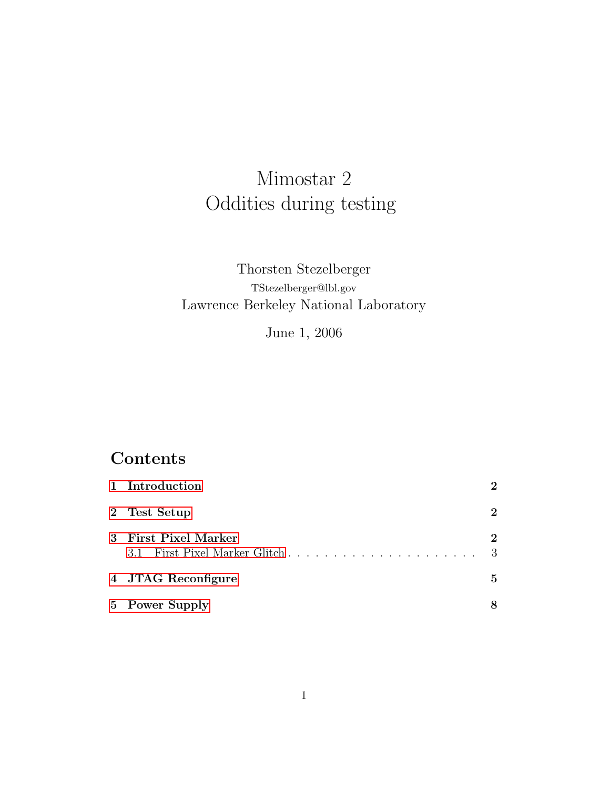# Mimostar 2 Oddities during testing

## Thorsten Stezelberger TStezelberger@lbl.gov Lawrence Berkeley National Laboratory

June 1, 2006

# Contents

|   | 1 Introduction            | $\mathbf{2}$                 |
|---|---------------------------|------------------------------|
|   | 2 Test Setup              | $\mathbf 2$                  |
| 3 | <b>First Pixel Marker</b> | $\mathbf 2$<br>$\mathcal{R}$ |
|   | 4 JTAG Reconfigure        | 5                            |
|   | 5 Power Supply            |                              |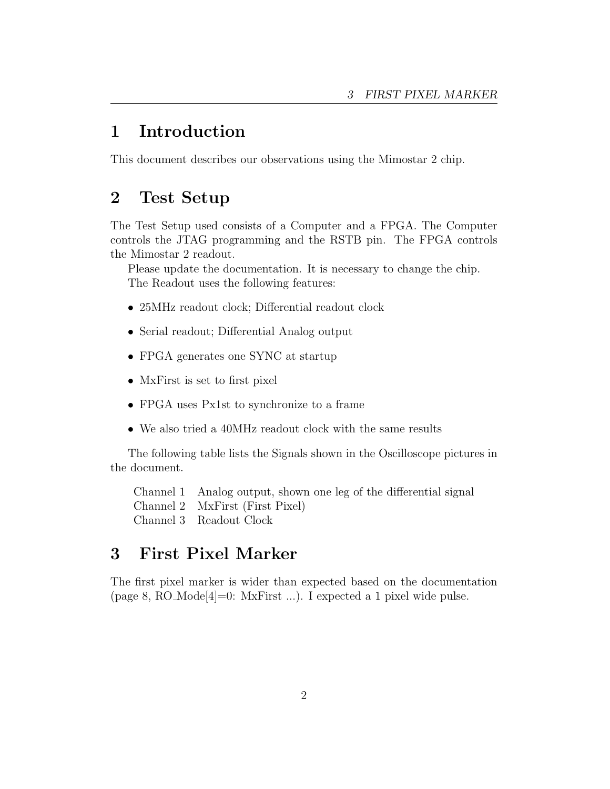### <span id="page-1-0"></span>1 Introduction

This document describes our observations using the Mimostar 2 chip.

#### <span id="page-1-1"></span>2 Test Setup

The Test Setup used consists of a Computer and a FPGA. The Computer controls the JTAG programming and the RSTB pin. The FPGA controls the Mimostar 2 readout.

Please update the documentation. It is necessary to change the chip. The Readout uses the following features:

- 25MHz readout clock; Differential readout clock
- Serial readout; Differential Analog output
- FPGA generates one SYNC at startup
- MxFirst is set to first pixel
- FPGA uses Px1st to synchronize to a frame
- We also tried a 40MHz readout clock with the same results

The following table lists the Signals shown in the Oscilloscope pictures in the document.

Channel 1 Analog output, shown one leg of the differential signal Channel 2 MxFirst (First Pixel) Channel 3 Readout Clock

#### <span id="page-1-2"></span>3 First Pixel Marker

The first pixel marker is wider than expected based on the documentation (page 8, RO\_Mode[4]=0: MxFirst ...). I expected a 1 pixel wide pulse.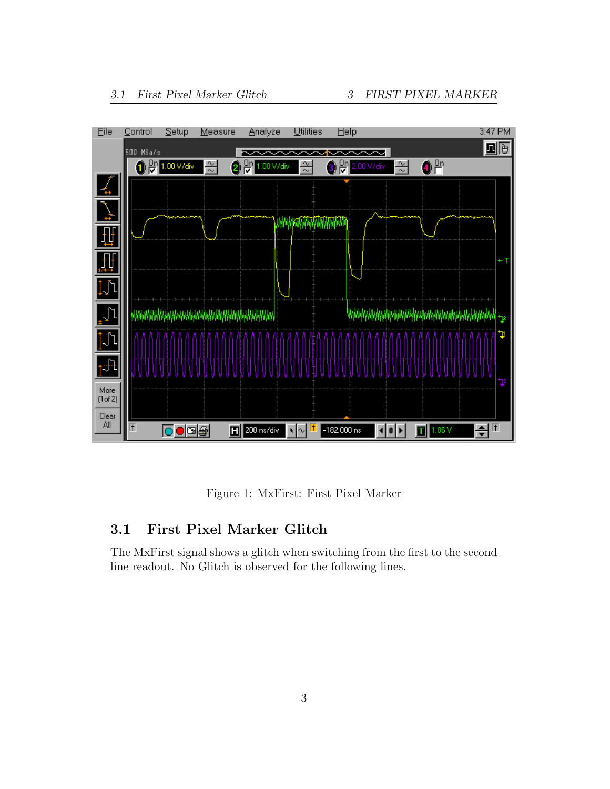

Figure 1: MxFirst: First Pixel Marker

#### <span id="page-2-0"></span>3.1 First Pixel Marker Glitch

The MxFirst signal shows a glitch when switching from the first to the second line readout. No Glitch is observed for the following lines.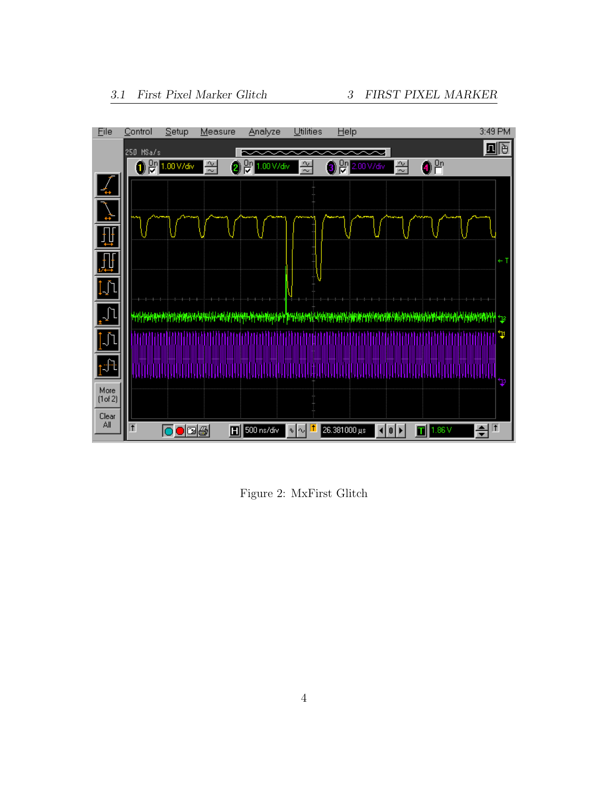

Figure 2: MxFirst Glitch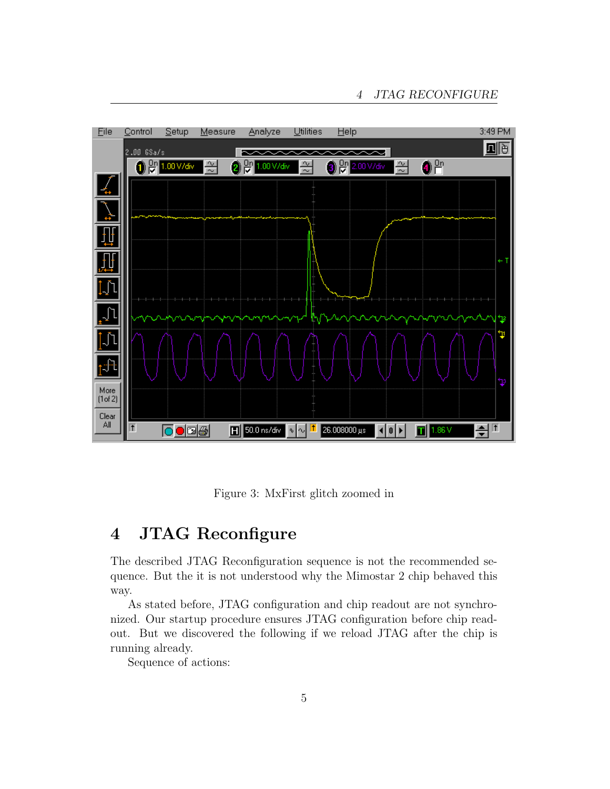

Figure 3: MxFirst glitch zoomed in

# <span id="page-4-0"></span>4 JTAG Reconfigure

The described JTAG Reconfiguration sequence is not the recommended sequence. But the it is not understood why the Mimostar 2 chip behaved this way.

As stated before, JTAG configuration and chip readout are not synchronized. Our startup procedure ensures JTAG configuration before chip readout. But we discovered the following if we reload JTAG after the chip is running already.

Sequence of actions: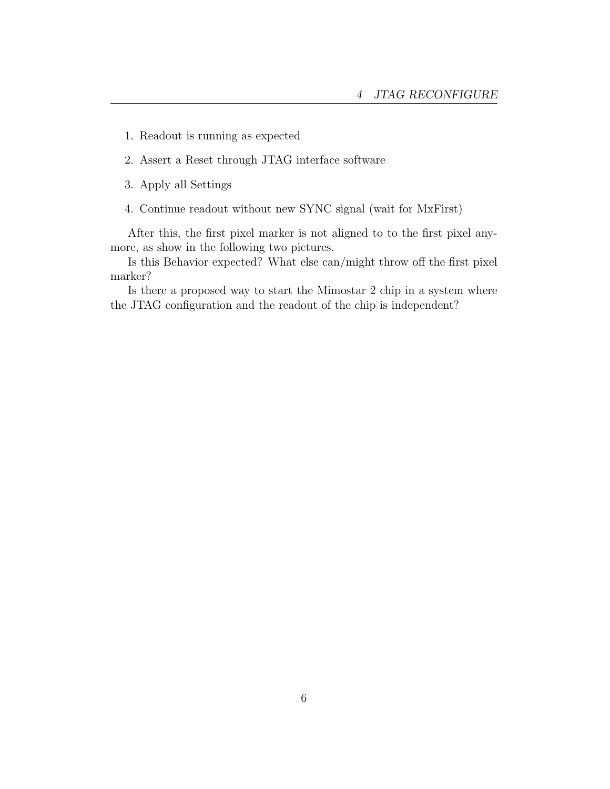- 1. Readout is running as expected
- 2. Assert a Reset through JTAG interface software
- 3. Apply all Settings
- 4. Continue readout without new SYNC signal (wait for MxFirst)

After this, the first pixel marker is not aligned to to the first pixel anymore, as show in the following two pictures.

Is this Behavior expected? What else can/might throw off the first pixel marker?

Is there a proposed way to start the Mimostar 2 chip in a system where the JTAG configuration and the readout of the chip is independent?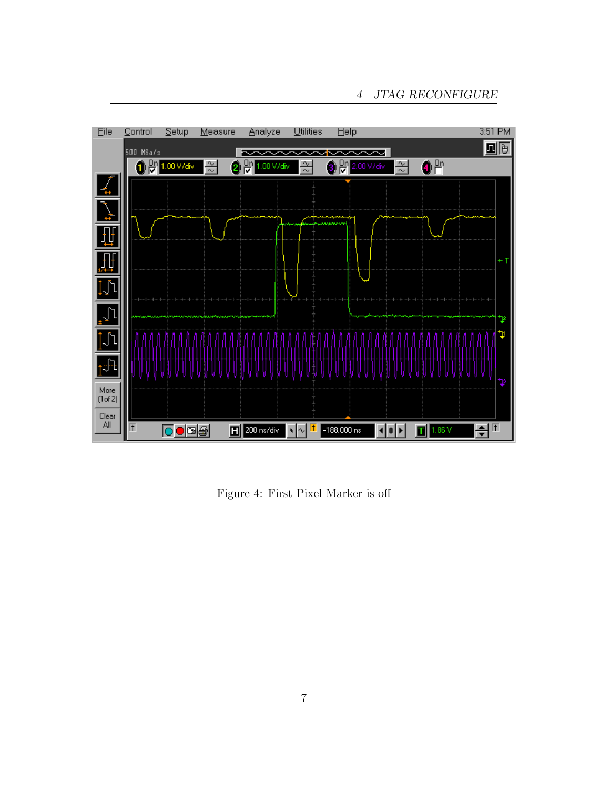

Figure 4: First Pixel Marker is off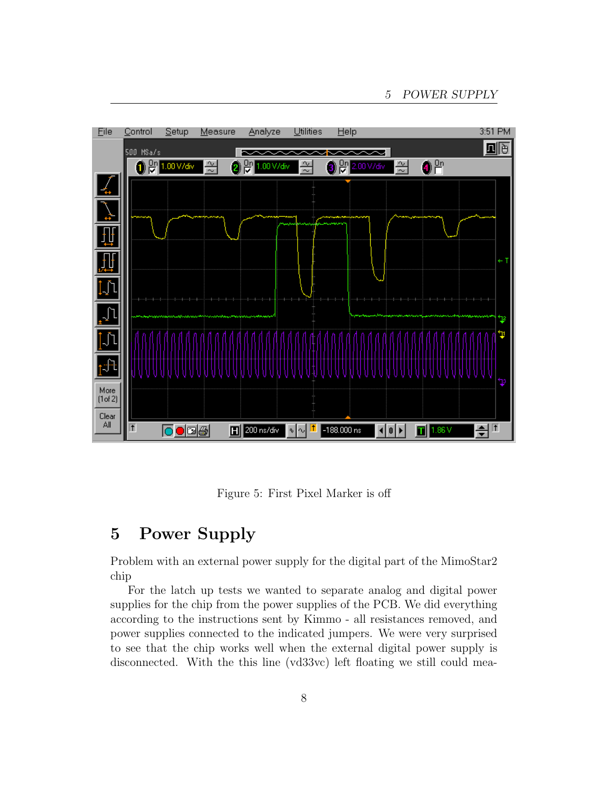

Figure 5: First Pixel Marker is off

### <span id="page-7-0"></span>5 Power Supply

Problem with an external power supply for the digital part of the MimoStar2 chip

For the latch up tests we wanted to separate analog and digital power supplies for the chip from the power supplies of the PCB. We did everything according to the instructions sent by Kimmo - all resistances removed, and power supplies connected to the indicated jumpers. We were very surprised to see that the chip works well when the external digital power supply is disconnected. With the this line (vd33vc) left floating we still could mea